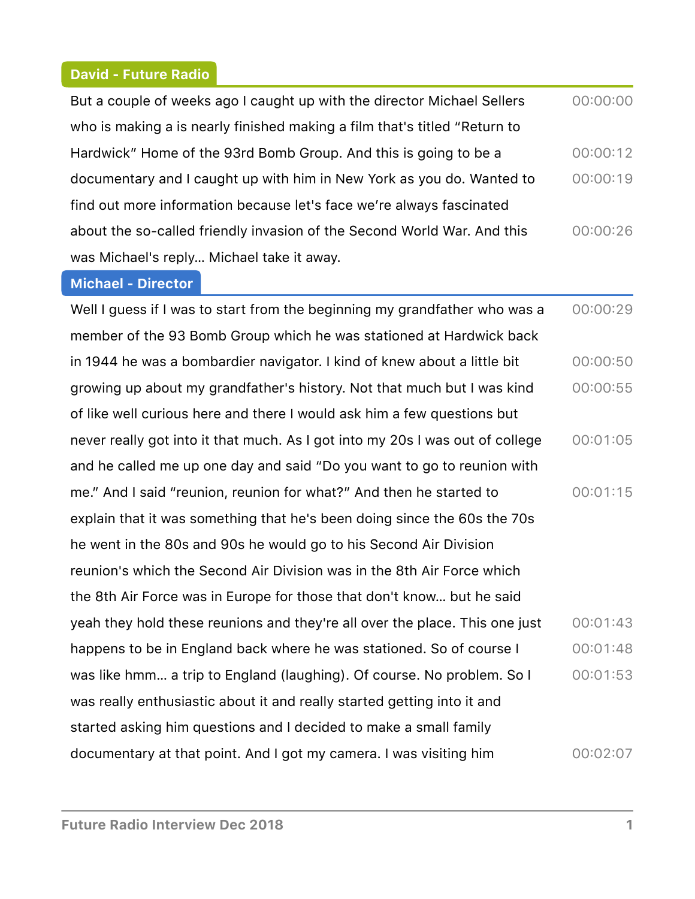#### **David - Future Radio**

| But a couple of weeks ago I caught up with the director Michael Sellers   | 00:00:00 |
|---------------------------------------------------------------------------|----------|
| who is making a is nearly finished making a film that's titled "Return to |          |
| Hardwick" Home of the 93rd Bomb Group. And this is going to be a          | 00:00:12 |
| documentary and I caught up with him in New York as you do. Wanted to     | 00:00:19 |
| find out more information because let's face we're always fascinated      |          |
| about the so-called friendly invasion of the Second World War. And this   | 00:00:26 |
| was Michael's reply Michael take it away.                                 |          |

#### **Michael - Director**

Well I guess if I was to start from the beginning my grandfather who was a member of the 93 Bomb Group which he was stationed at Hardwick back in 1944 he was a bombardier navigator. I kind of knew about a little bit growing up about my grandfather's history. Not that much but I was kind of like well curious here and there I would ask him a few questions but never really got into it that much. As I got into my 20s I was out of college and he called me up one day and said "Do you want to go to reunion with me." And I said "reunion, reunion for what?" And then he started to explain that it was something that he's been doing since the 60s the 70s he went in the 80s and 90s he would go to his Second Air Division reunion's which the Second Air Division was in the 8th Air Force which the 8th Air Force was in Europe for those that don't know… but he said yeah they hold these reunions and they're all over the place. This one just happens to be in England back where he was stationed. So of course I was like hmm… a trip to England (laughing). Of course. No problem. So I was really enthusiastic about it and really started getting into it and started asking him questions and I decided to make a small family documentary at that point. And I got my camera. I was visiting him  $00:00:29$ 00:00:50  $00:00:55$  $00:01:05$  $00:01:15$  $00:01:43$  $00:01:48$  $00:01:53$ 00:02:07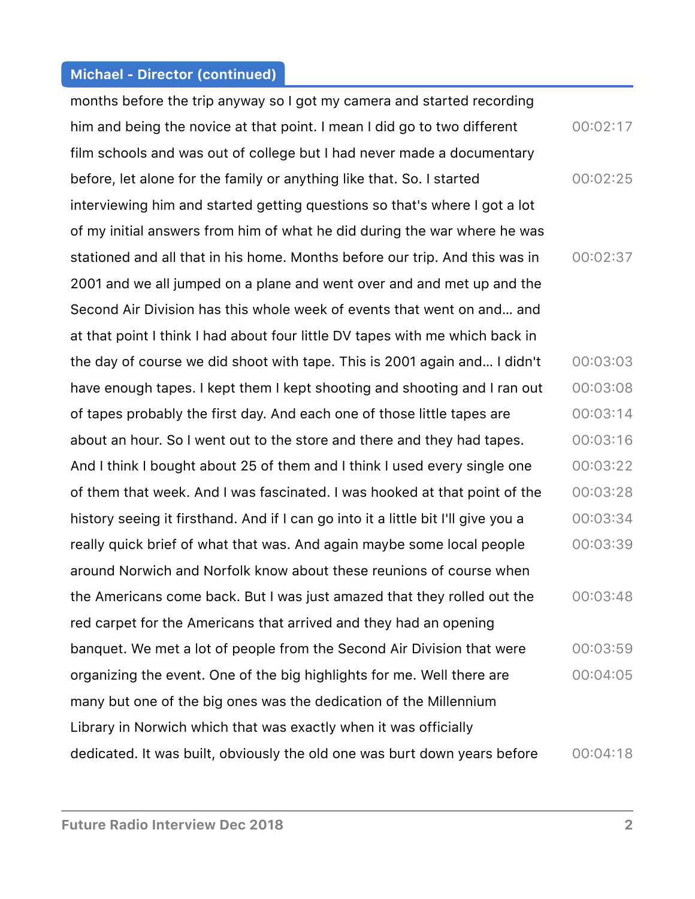months before the trip anyway so I got my camera and started recording him and being the novice at that point. I mean I did go to two different film schools and was out of college but I had never made a documentary before, let alone for the family or anything like that. So. I started interviewing him and started getting questions so that's where I got a lot of my initial answers from him of what he did during the war where he was stationed and all that in his home. Months before our trip. And this was in 2001 and we all jumped on a plane and went over and and met up and the Second Air Division has this whole week of events that went on and… and at that point I think I had about four little DV tapes with me which back in the day of course we did shoot with tape. This is 2001 again and… I didn't have enough tapes. I kept them I kept shooting and shooting and I ran out of tapes probably the first day. And each one of those little tapes are about an hour. So I went out to the store and there and they had tapes. And I think I bought about 25 of them and I think I used every single one of them that week. And I was fascinated. I was hooked at that point of the history seeing it firsthand. And if I can go into it a little bit I'll give you a really quick brief of what that was. And again maybe some local people around Norwich and Norfolk know about these reunions of course when the Americans come back. But I was just amazed that they rolled out the red carpet for the Americans that arrived and they had an opening banquet. We met a lot of people from the Second Air Division that were organizing the event. One of the big highlights for me. Well there are many but one of the big ones was the dedication of the Millennium Library in Norwich which that was exactly when it was officially dedicated. It was built, obviously the old one was burt down years before  $00:02:17$  $00:02:25$  $00:02:37$ 00:03:03 00:03:08  $00:03:14$  $00:03:16$  $00:03:22$  $00:03:28$ 00:03:34  $00:03:39$  $00:03:48$ 00:03:59 00:04:05  $00:04:18$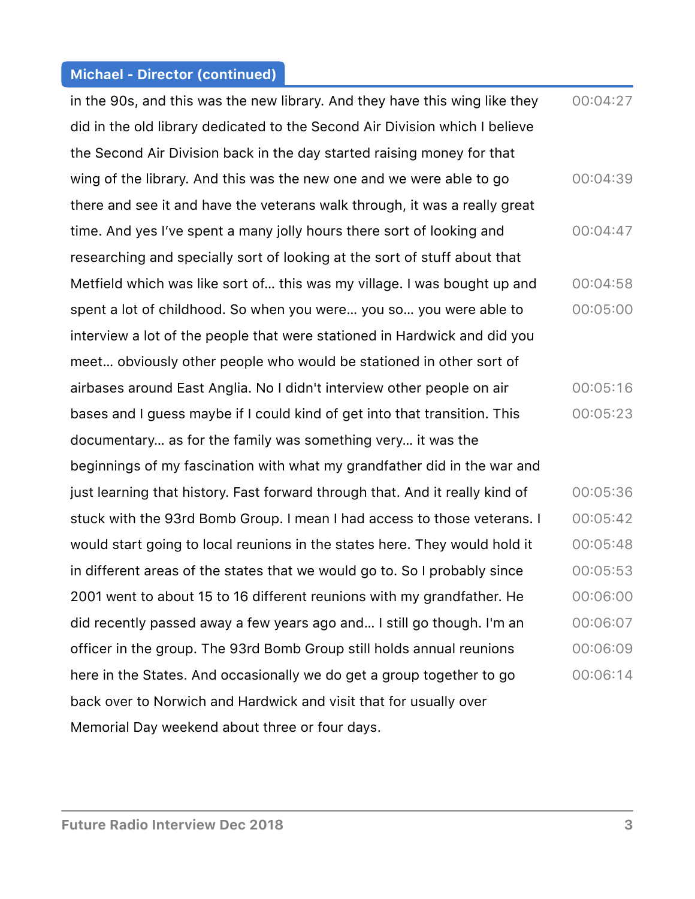in the 90s, and this was the new library. And they have this wing like they did in the old library dedicated to the Second Air Division which I believe the Second Air Division back in the day started raising money for that wing of the library. And this was the new one and we were able to go there and see it and have the veterans walk through, it was a really great time. And yes I've spent a many jolly hours there sort of looking and researching and specially sort of looking at the sort of stuff about that Metfield which was like sort of… this was my village. I was bought up and spent a lot of childhood. So when you were… you so… you were able to interview a lot of the people that were stationed in Hardwick and did you meet… obviously other people who would be stationed in other sort of airbases around East Anglia. No I didn't interview other people on air bases and I guess maybe if I could kind of get into that transition. This documentary… as for the family was something very… it was the beginnings of my fascination with what my grandfather did in the war and just learning that history. Fast forward through that. And it really kind of stuck with the 93rd Bomb Group. I mean I had access to those veterans. I would start going to local reunions in the states here. They would hold it in different areas of the states that we would go to. So I probably since 2001 went to about 15 to 16 different reunions with my grandfather. He did recently passed away a few years ago and… I still go though. I'm an officer in the group. The 93rd Bomb Group still holds annual reunions here in the States. And occasionally we do get a group together to go back over to Norwich and Hardwick and visit that for usually over Memorial Day weekend about three or four days. 00:04:27  $00:04:39$  $00:04:47$  $00:04:58$  $00:05:00$  $00:05:16$  $00:05:23$  $00:05:36$  $00:05:42$  $00:05:48$  $00:05:53$ 00:06:00 00:06:07 00:06:09 00:06:14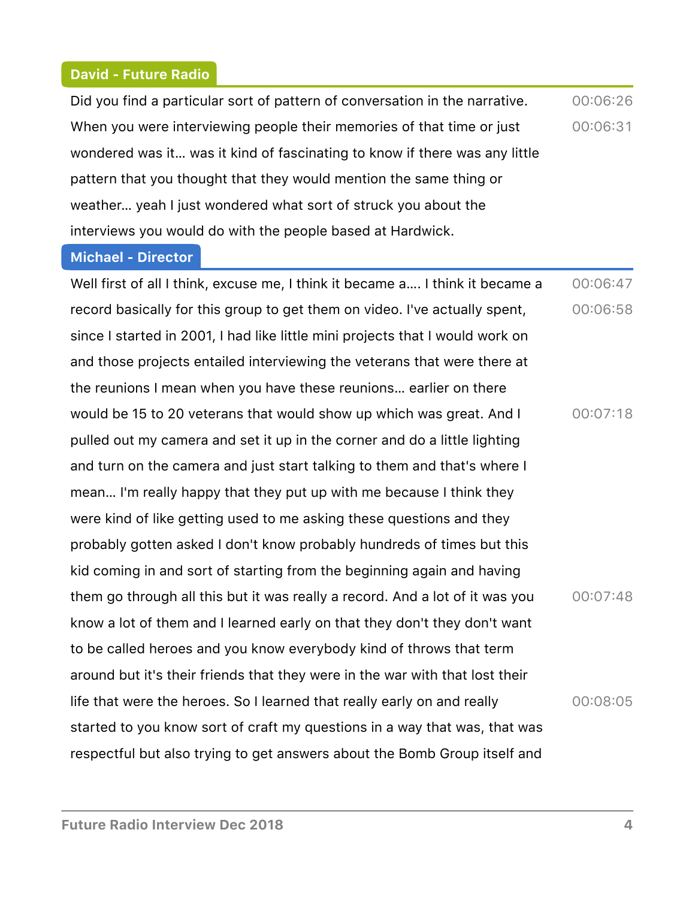#### **David - Future Radio**

Did you find a particular sort of pattern of conversation in the narrative. When you were interviewing people their memories of that time or just wondered was it… was it kind of fascinating to know if there was any little pattern that you thought that they would mention the same thing or weather… yeah I just wondered what sort of struck you about the interviews you would do with the people based at Hardwick. 00:06:26 00:06:31

#### **Michael - Director**

Well first of all I think, excuse me, I think it became a…. I think it became a record basically for this group to get them on video. I've actually spent, since I started in 2001, I had like little mini projects that I would work on and those projects entailed interviewing the veterans that were there at the reunions I mean when you have these reunions… earlier on there would be 15 to 20 veterans that would show up which was great. And I pulled out my camera and set it up in the corner and do a little lighting and turn on the camera and just start talking to them and that's where I mean… I'm really happy that they put up with me because I think they were kind of like getting used to me asking these questions and they probably gotten asked I don't know probably hundreds of times but this kid coming in and sort of starting from the beginning again and having them go through all this but it was really a record. And a lot of it was you know a lot of them and I learned early on that they don't they don't want to be called heroes and you know everybody kind of throws that term around but it's their friends that they were in the war with that lost their life that were the heroes. So I learned that really early on and really started to you know sort of craft my questions in a way that was, that was respectful but also trying to get answers about the Bomb Group itself and 00:06:47  $00:06:58$  $00:07:18$  $00:07:48$  $00:08:05$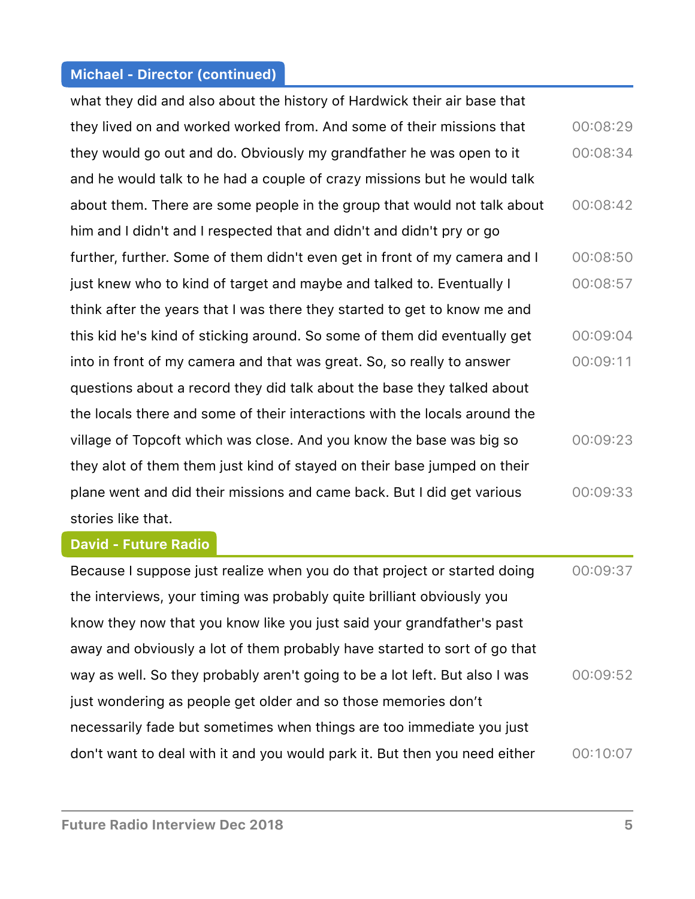what they did and also about the history of Hardwick their air base that they lived on and worked worked from. And some of their missions that they would go out and do. Obviously my grandfather he was open to it and he would talk to he had a couple of crazy missions but he would talk about them. There are some people in the group that would not talk about him and I didn't and I respected that and didn't and didn't pry or go further, further. Some of them didn't even get in front of my camera and I just knew who to kind of target and maybe and talked to. Eventually I think after the years that I was there they started to get to know me and this kid he's kind of sticking around. So some of them did eventually get into in front of my camera and that was great. So, so really to answer questions about a record they did talk about the base they talked about the locals there and some of their interactions with the locals around the village of Topcoft which was close. And you know the base was big so they alot of them them just kind of stayed on their base jumped on their plane went and did their missions and came back. But I did get various stories like that. 00:08:29  $00:08:34$ 00:08:42 00:08:50 00:08:57 00:09:04 00:09:11 00:09:23 00:09:33

#### **David - Future Radio**

| Because I suppose just realize when you do that project or started doing    | 00:09:37 |
|-----------------------------------------------------------------------------|----------|
| the interviews, your timing was probably quite brilliant obviously you      |          |
| know they now that you know like you just said your grandfather's past      |          |
| away and obviously a lot of them probably have started to sort of go that   |          |
| way as well. So they probably aren't going to be a lot left. But also I was | 00:09:52 |
| just wondering as people get older and so those memories don't              |          |
| necessarily fade but sometimes when things are too immediate you just       |          |
| don't want to deal with it and you would park it. But then you need either  | 00:10:07 |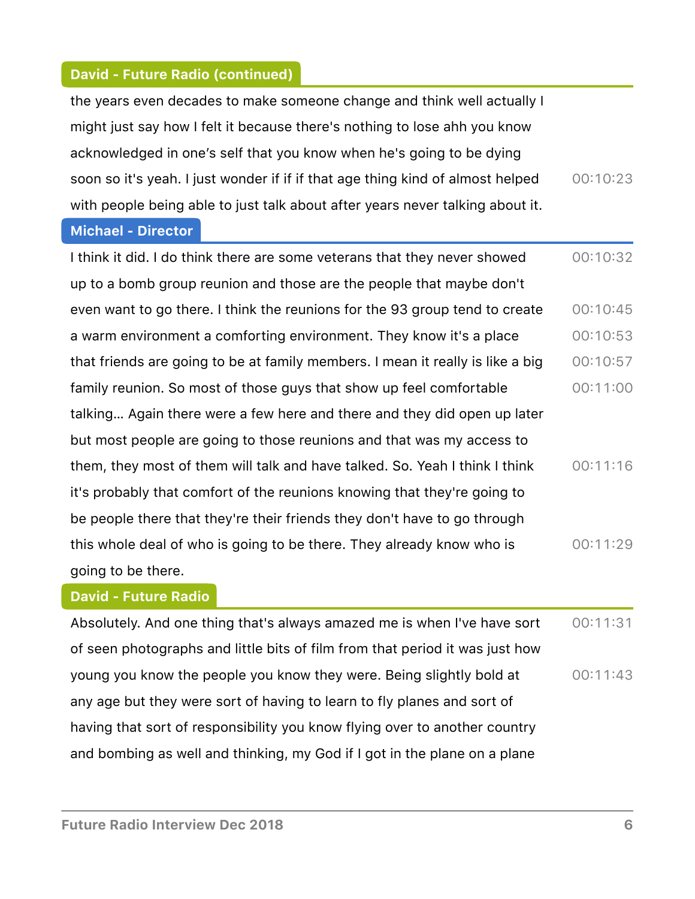# **David - Future Radio (continued)**

| the years even decades to make someone change and think well actually I        |          |
|--------------------------------------------------------------------------------|----------|
| might just say how I felt it because there's nothing to lose ahh you know      |          |
| acknowledged in one's self that you know when he's going to be dying           |          |
| soon so it's yeah. I just wonder if if if that age thing kind of almost helped | 00:10:23 |
| with people being able to just talk about after years never talking about it.  |          |
| <b>Michael - Director</b>                                                      |          |
| I think it did. I do think there are some veterans that they never showed      | 00:10:32 |
| up to a bomb group reunion and those are the people that maybe don't           |          |
| even want to go there. I think the reunions for the 93 group tend to create    | 00:10:45 |
| a warm environment a comforting environment. They know it's a place            | 00:10:53 |
| that friends are going to be at family members. I mean it really is like a big | 00:10:57 |
| family reunion. So most of those guys that show up feel comfortable            | 00:11:00 |
| talking Again there were a few here and there and they did open up later       |          |
| but most people are going to those reunions and that was my access to          |          |
| them, they most of them will talk and have talked. So. Yeah I think I think    | 00:11:16 |
| it's probably that comfort of the reunions knowing that they're going to       |          |
| be people there that they're their friends they don't have to go through       |          |
| this whole deal of who is going to be there. They already know who is          | 00:11:29 |
| going to be there.                                                             |          |

## **David - Future Radio**

Absolutely. And one thing that's always amazed me is when I've have sort of seen photographs and little bits of film from that period it was just how young you know the people you know they were. Being slightly bold at any age but they were sort of having to learn to fly planes and sort of having that sort of responsibility you know flying over to another country and bombing as well and thinking, my God if I got in the plane on a plane  $00:11:31$  $00:11:43$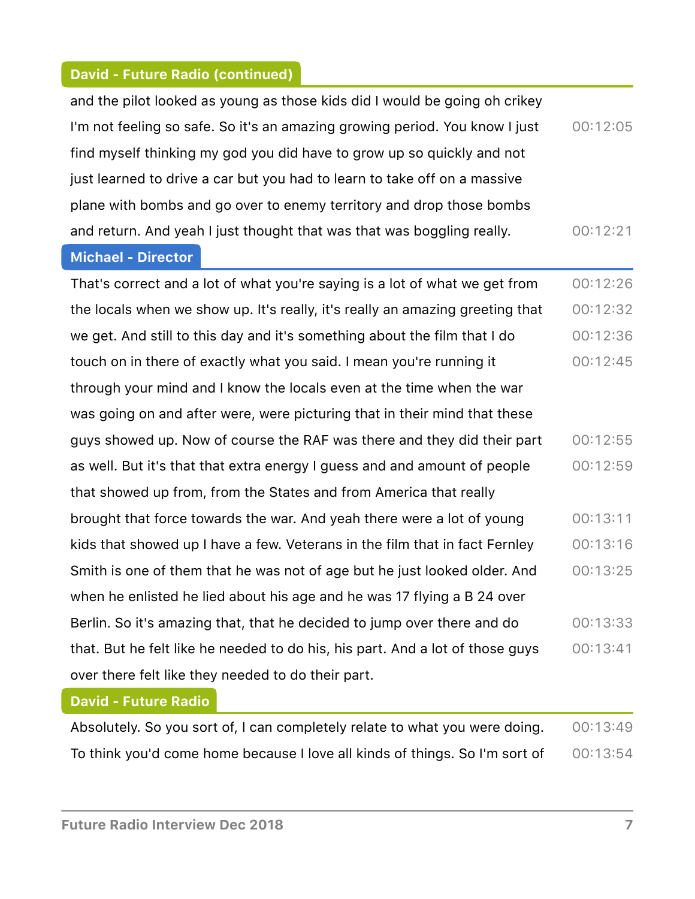# **David - Future Radio (continued)**

| and the pilot looked as young as those kids did I would be going oh crikey  |          |
|-----------------------------------------------------------------------------|----------|
| I'm not feeling so safe. So it's an amazing growing period. You know I just | 00:12:05 |
| find myself thinking my god you did have to grow up so quickly and not      |          |
| just learned to drive a car but you had to learn to take off on a massive   |          |
| plane with bombs and go over to enemy territory and drop those bombs        |          |
| and return. And yeah I just thought that was that was boggling really.      | 00:12:21 |

#### **Michael - Director**

That's correct and a lot of what you're saying is a lot of what we get from the locals when we show up. It's really, it's really an amazing greeting that we get. And still to this day and it's something about the film that I do touch on in there of exactly what you said. I mean you're running it through your mind and I know the locals even at the time when the war was going on and after were, were picturing that in their mind that these guys showed up. Now of course the RAF was there and they did their part as well. But it's that that extra energy I guess and and amount of people that showed up from, from the States and from America that really brought that force towards the war. And yeah there were a lot of young kids that showed up I have a few. Veterans in the film that in fact Fernley Smith is one of them that he was not of age but he just looked older. And when he enlisted he lied about his age and he was 17 flying a B 24 over Berlin. So it's amazing that, that he decided to jump over there and do that. But he felt like he needed to do his, his part. And a lot of those guys over there felt like they needed to do their part. 00:12:26  $00:12:32$  $00:12:36$  $00:12:45$  $00:12:55$  $00:12:59$  $00:13:11$  $00:13:16$  $00:13:25$  $00:13:33$  $00:13:41$ 

#### **David - Future Radio**

| Absolutely. So you sort of, I can completely relate to what you were doing. | 00:13:49 |
|-----------------------------------------------------------------------------|----------|
| To think you'd come home because I love all kinds of things. So I'm sort of | 00:13:54 |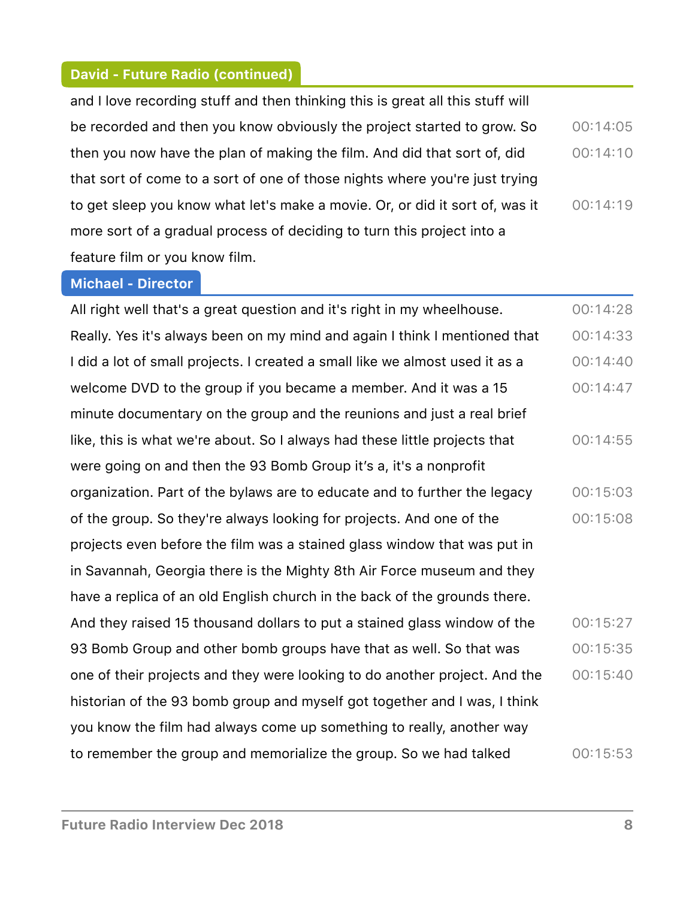# **David - Future Radio (continued)**

and I love recording stuff and then thinking this is great all this stuff will be recorded and then you know obviously the project started to grow. So then you now have the plan of making the film. And did that sort of, did that sort of come to a sort of one of those nights where you're just trying to get sleep you know what let's make a movie. Or, or did it sort of, was it more sort of a gradual process of deciding to turn this project into a feature film or you know film.  $00:14:05$  $00:14:10$ 00:14:19

#### **Michael - Director**

All right well that's a great question and it's right in my wheelhouse. Really. Yes it's always been on my mind and again I think I mentioned that I did a lot of small projects. I created a small like we almost used it as a welcome DVD to the group if you became a member. And it was a 15 minute documentary on the group and the reunions and just a real brief like, this is what we're about. So I always had these little projects that were going on and then the 93 Bomb Group it's a, it's a nonprofit organization. Part of the bylaws are to educate and to further the legacy of the group. So they're always looking for projects. And one of the projects even before the film was a stained glass window that was put in in Savannah, Georgia there is the Mighty 8th Air Force museum and they have a replica of an old English church in the back of the grounds there. And they raised 15 thousand dollars to put a stained glass window of the 93 Bomb Group and other bomb groups have that as well. So that was one of their projects and they were looking to do another project. And the historian of the 93 bomb group and myself got together and I was, I think you know the film had always come up something to really, another way to remember the group and memorialize the group. So we had talked  $00:14:28$  $00:14:33$  $00:14:40$  $00:14:47$  $00:14:55$ 00:15:03  $00:15:08$  $00:15:27$  $00:15:35$  $00:15:40$  $00:15:53$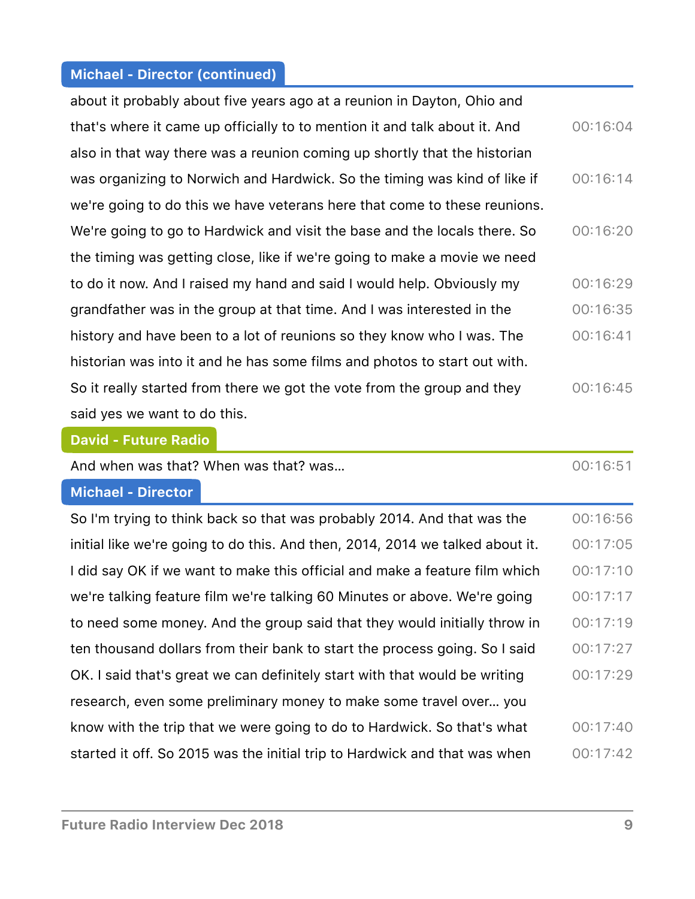| about it probably about five years ago at a reunion in Dayton, Ohio and    |          |
|----------------------------------------------------------------------------|----------|
| that's where it came up officially to to mention it and talk about it. And | 00:16:04 |
| also in that way there was a reunion coming up shortly that the historian  |          |
| was organizing to Norwich and Hardwick. So the timing was kind of like if  | 00:16:14 |
| we're going to do this we have veterans here that come to these reunions.  |          |
| We're going to go to Hardwick and visit the base and the locals there. So  | 00:16:20 |
| the timing was getting close, like if we're going to make a movie we need  |          |
| to do it now. And I raised my hand and said I would help. Obviously my     | 00:16:29 |
| grandfather was in the group at that time. And I was interested in the     | 00:16:35 |
| history and have been to a lot of reunions so they know who I was. The     | 00:16:41 |
| historian was into it and he has some films and photos to start out with.  |          |
| So it really started from there we got the vote from the group and they    | 00:16:45 |
| said yes we want to do this.                                               |          |

#### **David - Future Radio**

| <b>David - Future Radio</b>                                                   |          |
|-------------------------------------------------------------------------------|----------|
| And when was that? When was that? was                                         | 00:16:51 |
| <b>Michael - Director</b>                                                     |          |
| So I'm trying to think back so that was probably 2014. And that was the       | 00:16:56 |
| initial like we're going to do this. And then, 2014, 2014 we talked about it. | 00:17:05 |
| I did say OK if we want to make this official and make a feature film which   | 00:17:10 |
| we're talking feature film we're talking 60 Minutes or above. We're going     | 00:17:17 |
| to need some money. And the group said that they would initially throw in     | 00:17:19 |
| ten thousand dollars from their bank to start the process going. So I said    | 00:17:27 |
| OK. I said that's great we can definitely start with that would be writing    | 00:17:29 |
| research, even some preliminary money to make some travel over you            |          |
| know with the trip that we were going to do to Hardwick. So that's what       | 00:17:40 |
| started it off. So 2015 was the initial trip to Hardwick and that was when    | 00:17:42 |
|                                                                               |          |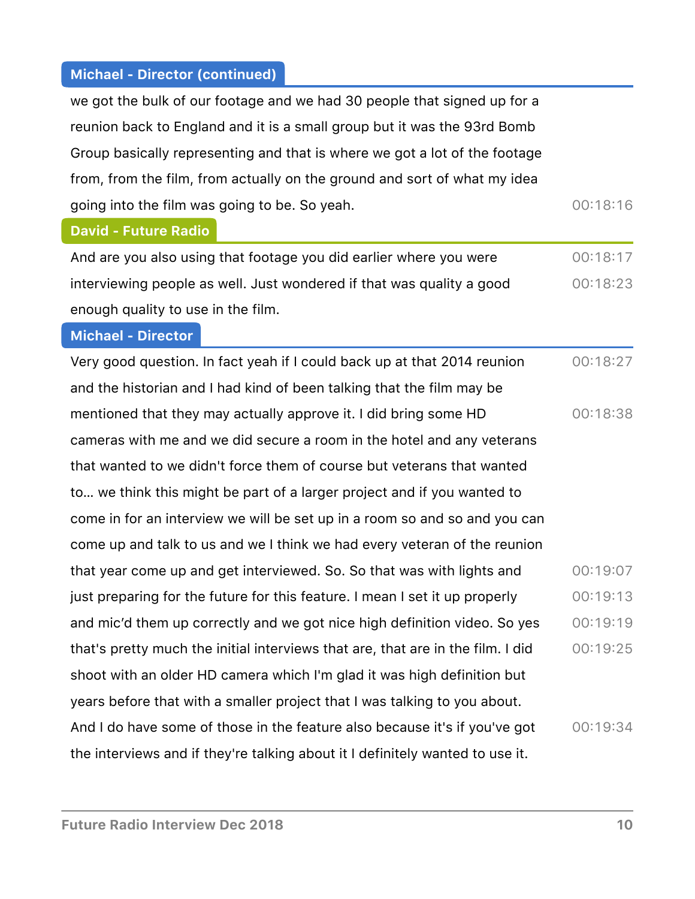$\sqrt{2}$ 

ſ

| we got the bulk of our footage and we had 30 people that signed up for a        |          |
|---------------------------------------------------------------------------------|----------|
| reunion back to England and it is a small group but it was the 93rd Bomb        |          |
| Group basically representing and that is where we got a lot of the footage      |          |
| from, from the film, from actually on the ground and sort of what my idea       |          |
| going into the film was going to be. So yeah.                                   | 00:18:16 |
| <b>David - Future Radio</b>                                                     |          |
| And are you also using that footage you did earlier where you were              | 00:18:17 |
| interviewing people as well. Just wondered if that was quality a good           | 00:18:23 |
| enough quality to use in the film.                                              |          |
| <b>Michael - Director</b>                                                       |          |
| Very good question. In fact yeah if I could back up at that 2014 reunion        | 00:18:27 |
| and the historian and I had kind of been talking that the film may be           |          |
| mentioned that they may actually approve it. I did bring some HD                | 00:18:38 |
| cameras with me and we did secure a room in the hotel and any veterans          |          |
| that wanted to we didn't force them of course but veterans that wanted          |          |
| to we think this might be part of a larger project and if you wanted to         |          |
| come in for an interview we will be set up in a room so and so and you can      |          |
| come up and talk to us and we I think we had every veteran of the reunion       |          |
| that year come up and get interviewed. So. So that was with lights and          | 00:19:07 |
| just preparing for the future for this feature. I mean I set it up properly     | 00:19:13 |
| and mic'd them up correctly and we got nice high definition video. So yes       | 00:19:19 |
| that's pretty much the initial interviews that are, that are in the film. I did | 00:19:25 |
| shoot with an older HD camera which I'm glad it was high definition but         |          |
| years before that with a smaller project that I was talking to you about.       |          |
| And I do have some of those in the feature also because it's if you've got      | 00:19:34 |
| the interviews and if they're talking about it I definitely wanted to use it.   |          |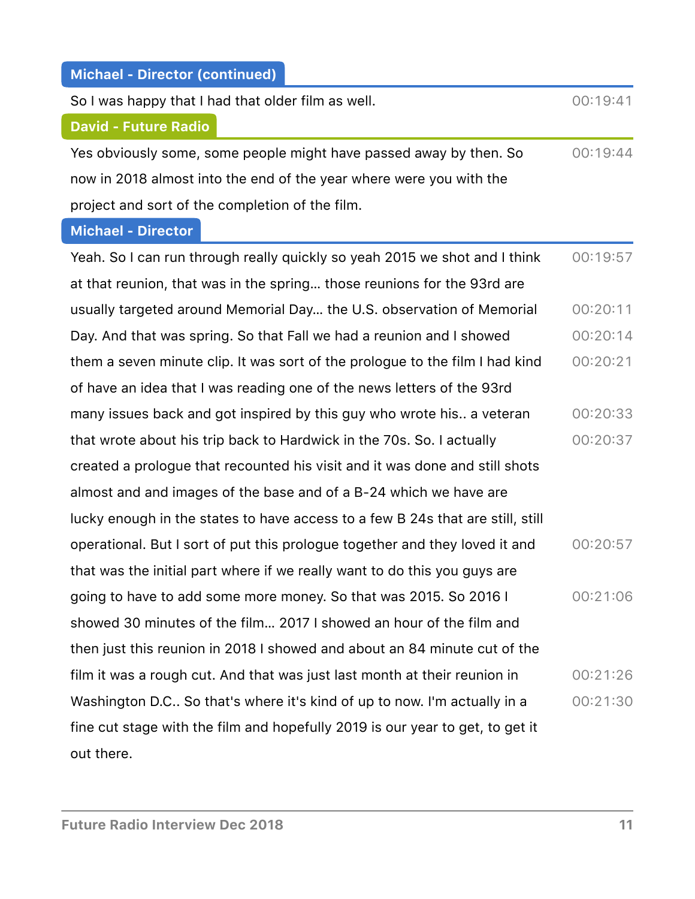$\overline{\phantom{a}}$ 

 $\overline{\phantom{a}}$ 

| So I was happy that I had that older film as well.                             | 00:19:41 |
|--------------------------------------------------------------------------------|----------|
| <b>David - Future Radio</b>                                                    |          |
| Yes obviously some, some people might have passed away by then. So             | 00:19:44 |
| now in 2018 almost into the end of the year where were you with the            |          |
| project and sort of the completion of the film.                                |          |
| <b>Michael - Director</b>                                                      |          |
| Yeah. So I can run through really quickly so yeah 2015 we shot and I think     | 00:19:57 |
| at that reunion, that was in the spring those reunions for the 93rd are        |          |
| usually targeted around Memorial Day the U.S. observation of Memorial          | 00:20:11 |
| Day. And that was spring. So that Fall we had a reunion and I showed           | 00:20:14 |
| them a seven minute clip. It was sort of the prologue to the film I had kind   | 00:20:21 |
| of have an idea that I was reading one of the news letters of the 93rd         |          |
| many issues back and got inspired by this guy who wrote his a veteran          | 00:20:33 |
| that wrote about his trip back to Hardwick in the 70s. So. I actually          | 00:20:37 |
| created a prologue that recounted his visit and it was done and still shots    |          |
| almost and and images of the base and of a B-24 which we have are              |          |
| lucky enough in the states to have access to a few B 24s that are still, still |          |
| operational. But I sort of put this prologue together and they loved it and    | 00:20:57 |
| that was the initial part where if we really want to do this you guys are      |          |
| going to have to add some more money. So that was 2015. So 2016 I              | 00:21:06 |
| showed 30 minutes of the film 2017 I showed an hour of the film and            |          |
| then just this reunion in 2018 I showed and about an 84 minute cut of the      |          |
| film it was a rough cut. And that was just last month at their reunion in      | 00:21:26 |
| Washington D.C So that's where it's kind of up to now. I'm actually in a       | 00:21:30 |
| fine cut stage with the film and hopefully 2019 is our year to get, to get it  |          |
| out there.                                                                     |          |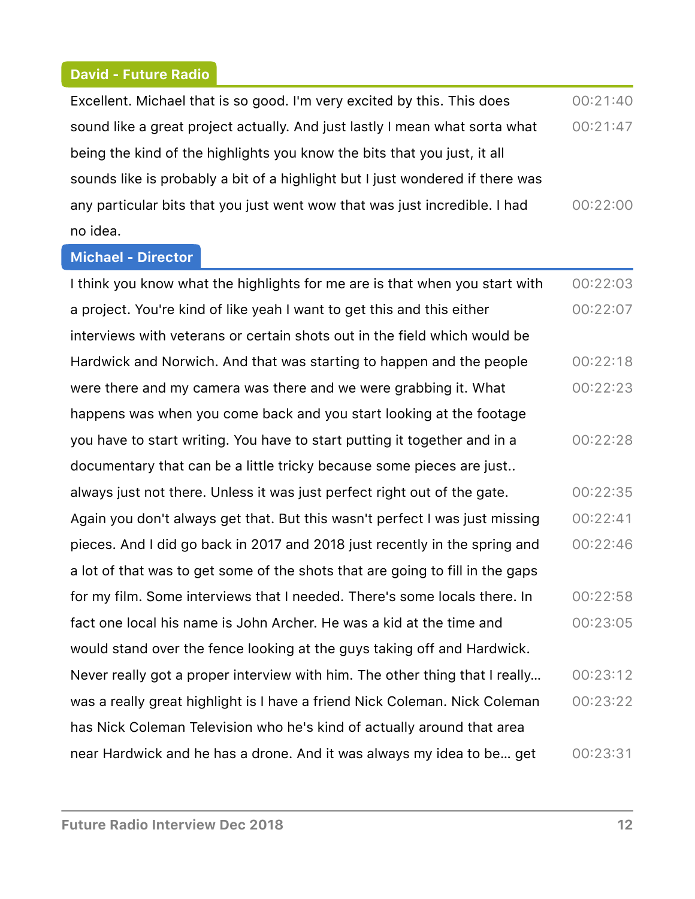### **David - Future Radio**

| Excellent. Michael that is so good. I'm very excited by this. This does       | 00:21:40 |
|-------------------------------------------------------------------------------|----------|
| sound like a great project actually. And just lastly I mean what sorta what   | 00:21:47 |
| being the kind of the highlights you know the bits that you just, it all      |          |
| sounds like is probably a bit of a highlight but I just wondered if there was |          |
| any particular bits that you just went wow that was just incredible. I had    | 00:22:00 |
| no idea.                                                                      |          |

#### **Michael - Director**

I think you know what the highlights for me are is that when you start with a project. You're kind of like yeah I want to get this and this either interviews with veterans or certain shots out in the field which would be Hardwick and Norwich. And that was starting to happen and the people were there and my camera was there and we were grabbing it. What happens was when you come back and you start looking at the footage you have to start writing. You have to start putting it together and in a documentary that can be a little tricky because some pieces are just.. always just not there. Unless it was just perfect right out of the gate. Again you don't always get that. But this wasn't perfect I was just missing pieces. And I did go back in 2017 and 2018 just recently in the spring and a lot of that was to get some of the shots that are going to fill in the gaps for my film. Some interviews that I needed. There's some locals there. In fact one local his name is John Archer. He was a kid at the time and would stand over the fence looking at the guys taking off and Hardwick. Never really got a proper interview with him. The other thing that I really… was a really great highlight is I have a friend Nick Coleman. Nick Coleman has Nick Coleman Television who he's kind of actually around that area near Hardwick and he has a drone. And it was always my idea to be… get 00:22:03  $00:22:07$  $00:22:18$  $00:22:23$  $00:22:28$  $00:22:35$  $00:22:41$  $00:22:46$  $00:22:58$  $00:23:05$ 00:23:12  $00:23:22$ 00:23:31